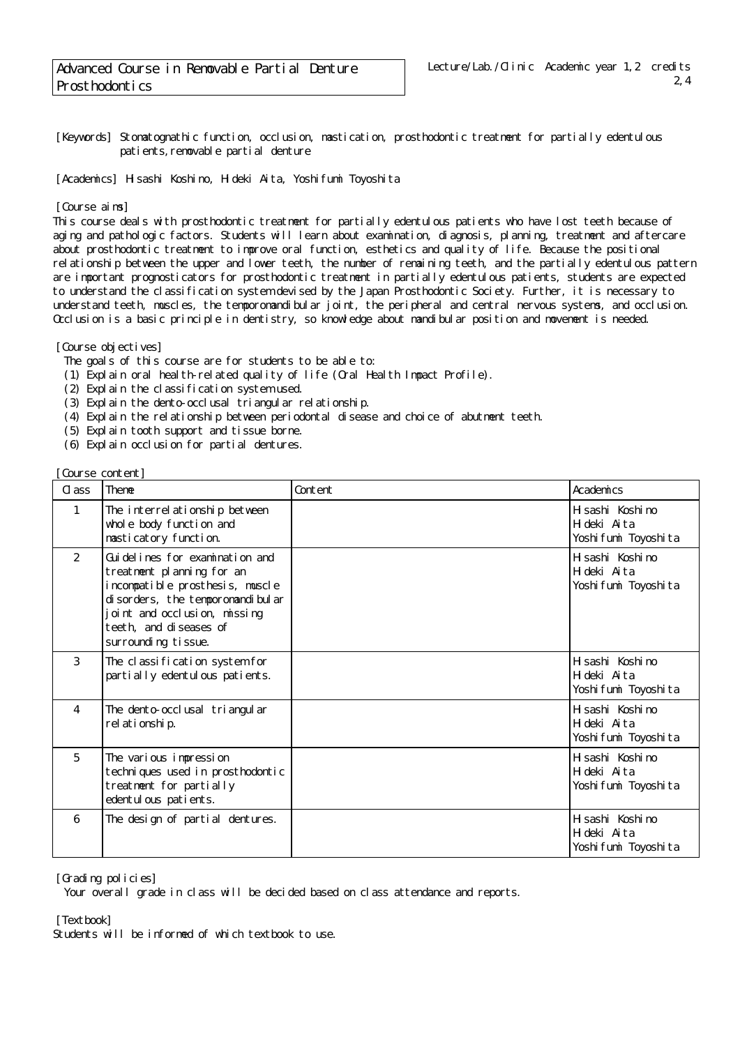[Keywords] Stomatognathic function, occlusion, mastication, prosthodontic treatment for partially edentulous patients, removable partial denture

[Academics] Hisashi Koshino, Hideki Aita, Yoshifumi Toyoshita

## [Course aims]

This course deals with prosthodontic treatment for partially edentulous patients who have lost teeth because of aging and pathologic factors. Students will learn about examination, diagnosis, planning, treatment and aftercare about prosthodontic treatment to improve oral function, esthetics and quality of life. Because the positional relationship between the upper and lower teeth, the number of remaining teeth, and the partially edentulous pattern are important prognosticators for prosthodontic treatment in partially edentulous patients, students are expected to understand the classification system devised by the Japan Prosthodontic Society. Further, it is necessary to understand teeth, muscles, the temporomandibular joint, the peripheral and central nervous systems, and occlusion. Occlusion is a basic principle in dentistry, so knowledge about mandibular position and movement is needed.

[Course objectives]

- The goals of this course are for students to be able to:
- (1) Explain oral health-related quality of life (Oral Health Impact Profile).
- (2) Explain the classification system used.
- (3) Explain the dento-occlusal triangular relationship.
- (4) Explain the relationship between periodontal disease and choice of abutment teeth.
- (5) Explain tooth support and tissue borne.
- (6) Explain occlusion for partial dentures.

| [Course content] |                                                                                                                                                                                                                           |         |                                                          |
|------------------|---------------------------------------------------------------------------------------------------------------------------------------------------------------------------------------------------------------------------|---------|----------------------------------------------------------|
| Cl ass           | Theme                                                                                                                                                                                                                     | Content | Academics                                                |
| $\mathbf{1}$     | The interrel ationship between<br>whole body function and<br>masticatory function.                                                                                                                                        |         | H sashi Koshi no<br>Hideki Aita<br>Yoshi fumi Toyoshi ta |
| 2                | Gui del i nes for examination and<br>treatment planning for an<br>incompatible prosthesis, muscle<br>di sorders, the temporomandi bul ar<br>oint and occlusion, missing<br>teeth, and di seases of<br>surrounding tissue. |         | H sashi Koshi no<br>Hideki Aita<br>Yoshi fumi Toyoshi ta |
| 3                | The classification system for<br>partially edentulous patients.                                                                                                                                                           |         | H sashi Koshi no<br>Hideki Aita<br>Yoshi fumi Toyoshi ta |
| 4                | The dento-occlusal triangular<br>rel ati onshi p.                                                                                                                                                                         |         | H sashi Koshi no<br>Hideki Aita<br>Yoshi fumi Toyoshi ta |
| 5                | The various impression<br>techniques used in prosthodontic<br>treatment for partially<br>edentul ous pati ents.                                                                                                           |         | H sashi Koshi no<br>Hideki Aita<br>Yoshi fumi Toyoshi ta |
| 6                | The design of partial dentures.                                                                                                                                                                                           |         | H sashi Koshi no<br>Hideki Aita<br>Yoshi fumi Toyoshi ta |

[Grading policies]

Your overall grade in class will be decided based on class attendance and reports.

[Textbook]

Students will be informed of which textbook to use.